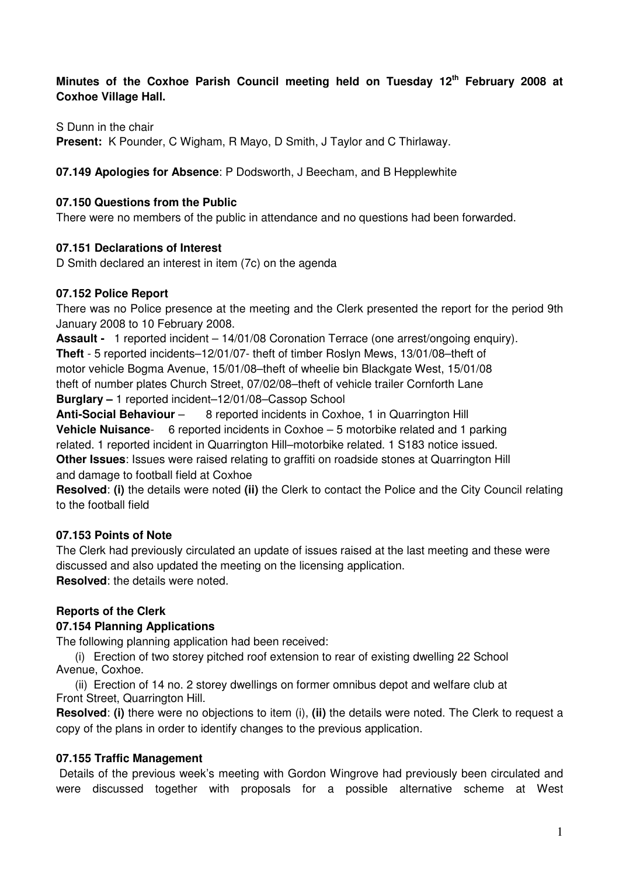# **Minutes of the Coxhoe Parish Council meeting held on Tuesday 12th February 2008 at Coxhoe Village Hall.**

S Dunn in the chair

**Present:** K Pounder, C Wigham, R Mayo, D Smith, J Taylor and C Thirlaway.

### **07.149 Apologies for Absence**: P Dodsworth, J Beecham, and B Hepplewhite

#### **07.150 Questions from the Public**

There were no members of the public in attendance and no questions had been forwarded.

### **07.151 Declarations of Interest**

D Smith declared an interest in item (7c) on the agenda

## **07.152 Police Report**

There was no Police presence at the meeting and the Clerk presented the report for the period 9th January 2008 to 10 February 2008.

**Assault -** 1 reported incident – 14/01/08 Coronation Terrace (one arrest/ongoing enquiry). **Theft** - 5 reported incidents–12/01/07- theft of timber Roslyn Mews, 13/01/08–theft of motor vehicle Bogma Avenue, 15/01/08–theft of wheelie bin Blackgate West, 15/01/08 theft of number plates Church Street, 07/02/08–theft of vehicle trailer Cornforth Lane **Burglary –** 1 reported incident–12/01/08–Cassop School

**Anti-Social Behaviour** – 8 reported incidents in Coxhoe, 1 in Quarrington Hill **Vehicle Nuisance**- 6 reported incidents in Coxhoe – 5 motorbike related and 1 parking related. 1 reported incident in Quarrington Hill–motorbike related. 1 S183 notice issued. **Other Issues**: Issues were raised relating to graffiti on roadside stones at Quarrington Hill and damage to football field at Coxhoe

**Resolved**: **(i)** the details were noted **(ii)** the Clerk to contact the Police and the City Council relating to the football field

## **07.153 Points of Note**

The Clerk had previously circulated an update of issues raised at the last meeting and these were discussed and also updated the meeting on the licensing application. **Resolved**: the details were noted.

## **Reports of the Clerk**

## **07.154 Planning Applications**

The following planning application had been received:

(i) Erection of two storey pitched roof extension to rear of existing dwelling 22 School Avenue, Coxhoe.

(ii) Erection of 14 no. 2 storey dwellings on former omnibus depot and welfare club at Front Street, Quarrington Hill.

**Resolved**: **(i)** there were no objections to item (i), **(ii)** the details were noted. The Clerk to request a copy of the plans in order to identify changes to the previous application.

## **07.155 Traffic Management**

 Details of the previous week's meeting with Gordon Wingrove had previously been circulated and were discussed together with proposals for a possible alternative scheme at West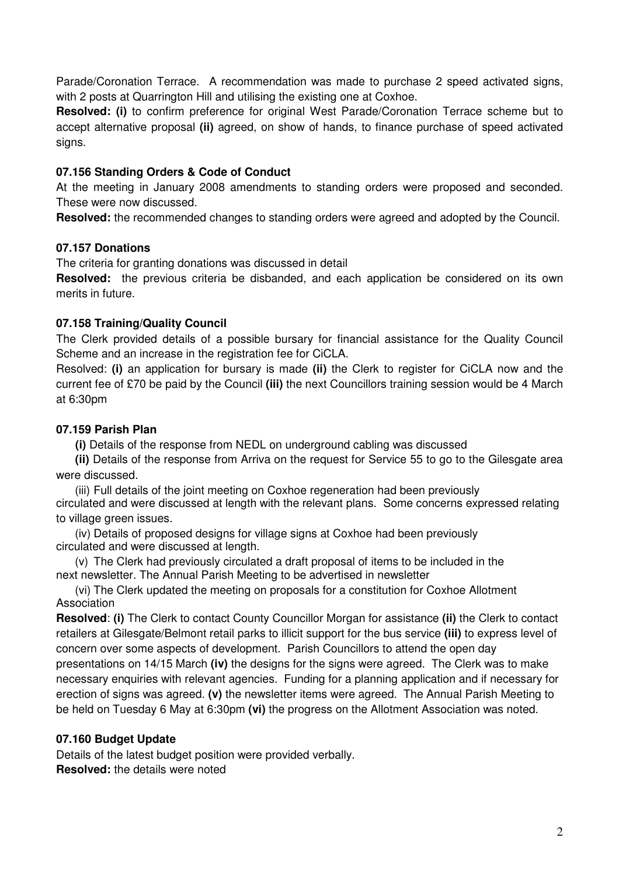Parade/Coronation Terrace. A recommendation was made to purchase 2 speed activated signs, with 2 posts at Quarrington Hill and utilising the existing one at Coxhoe.

**Resolved: (i)** to confirm preference for original West Parade/Coronation Terrace scheme but to accept alternative proposal **(ii)** agreed, on show of hands, to finance purchase of speed activated signs.

# **07.156 Standing Orders & Code of Conduct**

At the meeting in January 2008 amendments to standing orders were proposed and seconded. These were now discussed.

**Resolved:** the recommended changes to standing orders were agreed and adopted by the Council.

## **07.157 Donations**

The criteria for granting donations was discussed in detail

**Resolved:** the previous criteria be disbanded, and each application be considered on its own merits in future.

## **07.158 Training/Quality Council**

The Clerk provided details of a possible bursary for financial assistance for the Quality Council Scheme and an increase in the registration fee for CiCLA.

Resolved: **(i)** an application for bursary is made **(ii)** the Clerk to register for CiCLA now and the current fee of £70 be paid by the Council **(iii)** the next Councillors training session would be 4 March at 6:30pm

### **07.159 Parish Plan**

**(i)** Details of the response from NEDL on underground cabling was discussed

 **(ii)** Details of the response from Arriva on the request for Service 55 to go to the Gilesgate area were discussed.

(iii) Full details of the joint meeting on Coxhoe regeneration had been previously circulated and were discussed at length with the relevant plans. Some concerns expressed relating to village green issues.

(iv) Details of proposed designs for village signs at Coxhoe had been previously circulated and were discussed at length.

(v) The Clerk had previously circulated a draft proposal of items to be included in the next newsletter. The Annual Parish Meeting to be advertised in newsletter

(vi) The Clerk updated the meeting on proposals for a constitution for Coxhoe Allotment Association

**Resolved**: **(i)** The Clerk to contact County Councillor Morgan for assistance **(ii)** the Clerk to contact retailers at Gilesgate/Belmont retail parks to illicit support for the bus service **(iii)** to express level of concern over some aspects of development. Parish Councillors to attend the open day presentations on 14/15 March **(iv)** the designs for the signs were agreed. The Clerk was to make necessary enquiries with relevant agencies. Funding for a planning application and if necessary for erection of signs was agreed. **(v)** the newsletter items were agreed. The Annual Parish Meeting to be held on Tuesday 6 May at 6:30pm **(vi)** the progress on the Allotment Association was noted.

## **07.160 Budget Update**

Details of the latest budget position were provided verbally. **Resolved:** the details were noted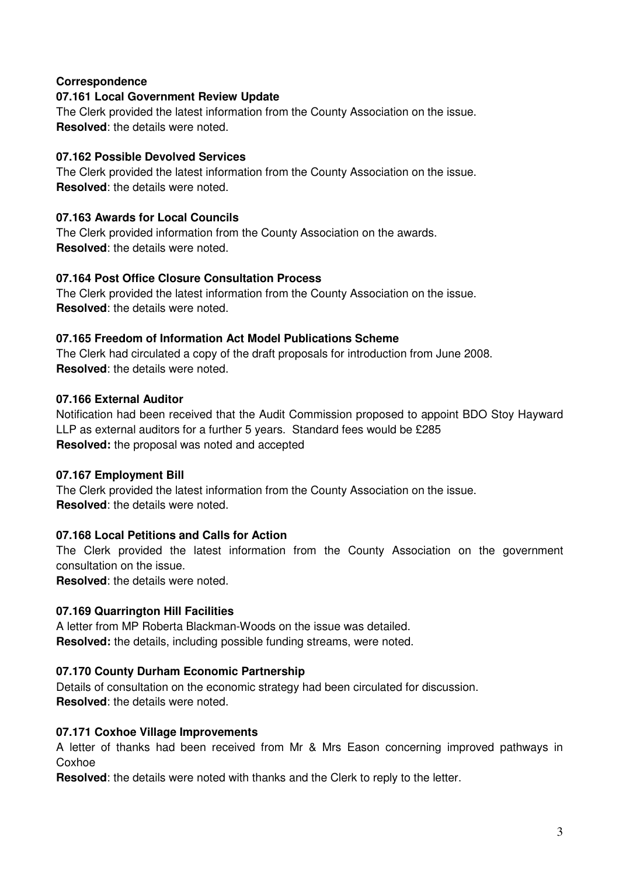## **Correspondence**

#### **07.161 Local Government Review Update**

The Clerk provided the latest information from the County Association on the issue. **Resolved**: the details were noted.

#### **07.162 Possible Devolved Services**

The Clerk provided the latest information from the County Association on the issue. **Resolved**: the details were noted.

#### **07.163 Awards for Local Councils**

The Clerk provided information from the County Association on the awards. **Resolved**: the details were noted.

#### **07.164 Post Office Closure Consultation Process**

The Clerk provided the latest information from the County Association on the issue. **Resolved**: the details were noted.

#### **07.165 Freedom of Information Act Model Publications Scheme**

The Clerk had circulated a copy of the draft proposals for introduction from June 2008. **Resolved**: the details were noted.

#### **07.166 External Auditor**

Notification had been received that the Audit Commission proposed to appoint BDO Stoy Hayward LLP as external auditors for a further 5 years. Standard fees would be £285 **Resolved:** the proposal was noted and accepted

#### **07.167 Employment Bill**

The Clerk provided the latest information from the County Association on the issue. **Resolved**: the details were noted.

## **07.168 Local Petitions and Calls for Action**

The Clerk provided the latest information from the County Association on the government consultation on the issue.

**Resolved**: the details were noted.

#### **07.169 Quarrington Hill Facilities**

A letter from MP Roberta Blackman-Woods on the issue was detailed. **Resolved:** the details, including possible funding streams, were noted.

#### **07.170 County Durham Economic Partnership**

Details of consultation on the economic strategy had been circulated for discussion. **Resolved**: the details were noted.

#### **07.171 Coxhoe Village Improvements**

A letter of thanks had been received from Mr & Mrs Eason concerning improved pathways in Coxhoe

**Resolved**: the details were noted with thanks and the Clerk to reply to the letter.